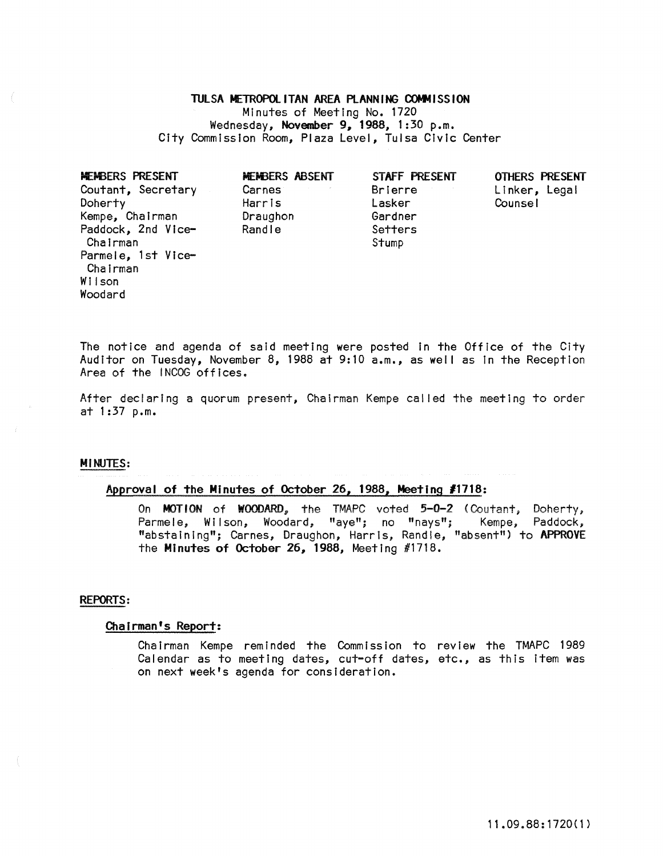# TULSA METROPOLITAN AREA PLANNING COMMISSION Minutes of Meeting No. 1720 Wednesday, November 9, 1988, 1:30 p.m. City Commission Room, Plaza Level, Tulsa Civic Center

| <b>MEMBERS PRESENT</b> | MEMBERS ABSENT |
|------------------------|----------------|
| Coutant, Secretary     | <b>Carnes</b>  |
| Doherty                | Harris         |
| Kempe, Chairman        | Draughon       |
| Paddock, 2nd Vice-     | Randle         |
| Chairman               |                |
| Parmele, 1st Vice-     |                |
| Chairman               |                |
| Wilson                 |                |
| Woodard                |                |

STAFF PRESENT Brlerre Lasker Gardner **Setters** Stump

OTHERS PRESENT Linker, Legal Counsel

The notice and agenda of said meeting were posted In the Office of the City Auditor on Tuesday, November 8, 1988 at 9:10 a.m., as well as in the Reception Area of the INCOG offices.

After declaring a quorum present, Chairman Kempe called the meeting to order at 1 :37 p.m.

### MINUTES:

## Approval of the Minutes of October 26, 1988, Meeting #1718:

On MOTION of WOODARD, the TMAPC voted 5-0-2 (Coutant, Doherty, Parmele, Wilson, Woodard, "aye"; no "nays"; Kempe, Paddock, Parmele, Wilson, Woodard, "aye"; no "nays"; "abstaining"; Carnes, Draughon, Harris, Randle, "absent") to APPROVE the Minutes of October 26, 1988, Meeting #1718.

### REPORTS:

## Chairman's Report:

Chairman Kempe reminded the Commission to review the TMAPC 1989 Calendar as to meeting dates, cut-off dates, etc., as this item was on next week's agenda for consideration.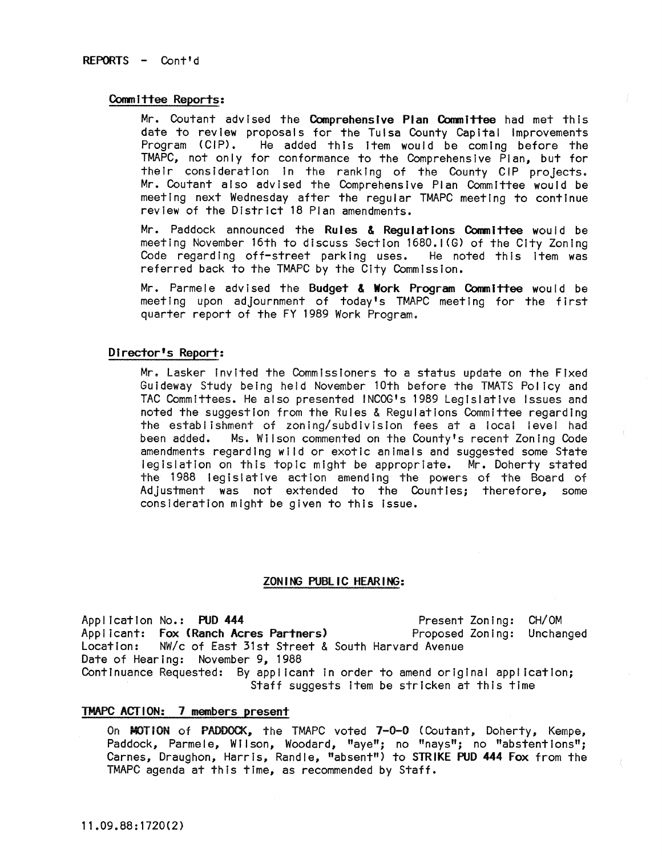# Committee Reports:

Mr. Coutant advised the Comprehensive Plan Committee had met this date to review proposals for the Tulsa County Capital Improvements Program (CIP). He added this item would be coming before the TMAPC, not only for conformance to the Comprehensive Plan, but for their consideration In the ranking of the County CIP projects. Mr. Coutant also advised the Comprehensive Plan Committee would be meeting next Wednesday after the regular TMAPC meeting to continue review of the District 18 Plan amendments.

Mr. Paddock announced the Rules & Regulations Committee would be meeting November 16th to discuss Section 1680.I(G) of the City Zoning Code regarding off-street parking uses. He noted this item was referred back to the TMAPC by the City COmmission.

Mr. Parmele advised the Budget & Work Program Committee would be meeting upon adjournment of today's TMAPC meeting for the first quarter report of the FY 1989 Work Program.

## Director's Report:

Mr. Lasker Invited the Commissioners to a status update on the Fixed Guideway Study being held November 10th before the TMATS Pol Icy and TAC Committees. He also presented INCOG's 1989 Legislative Issues and noted the suggestion from the Rules & Regulations Committee regarding the establishment of zoning/subdivision fees at a local level had<br>been added. Ms. Wilson commented on the County's recent Zoning Code Ms. Wilson commented on the County's recent Zoning Code amendments regarding wild or exotic animals and suggested some State legislation on this topic might be appropriate. Mr. Doherty stated the 1988 legislative action amending the powers of the Board of Adjustment was not extended to the COunties; therefore, some consideration might be given to this Issue.

### ZON ING PUBLIC HEARING:

Application No.: PUD 444 Proposed Zoning: Unchanged Present Zoning: CH/OM Applicant: Fox (Ranch Acres Partners) Location: *NWlc* of East 31st Street & South Harvard Avenue Date of Hearing: November 9, 1988 COntinuance Requested: By applicant In order to amend original application; Staff suggests Item be stricken at this time

## TMAPC ACTION: 7 members present

On WOTION of PADDOCK, the TMAPC voted 7-0-0 (Coutant, Doherty, Kempe, Paddock, Parmele, Wilson, Woodard, "aye"; no "nays"; no "abstentions"; Carnes, Draughon, Harris, Randle, "absent") to STRIKE PUD 444 Fox from the TMAPC agenda at this time, as recommended by Staff.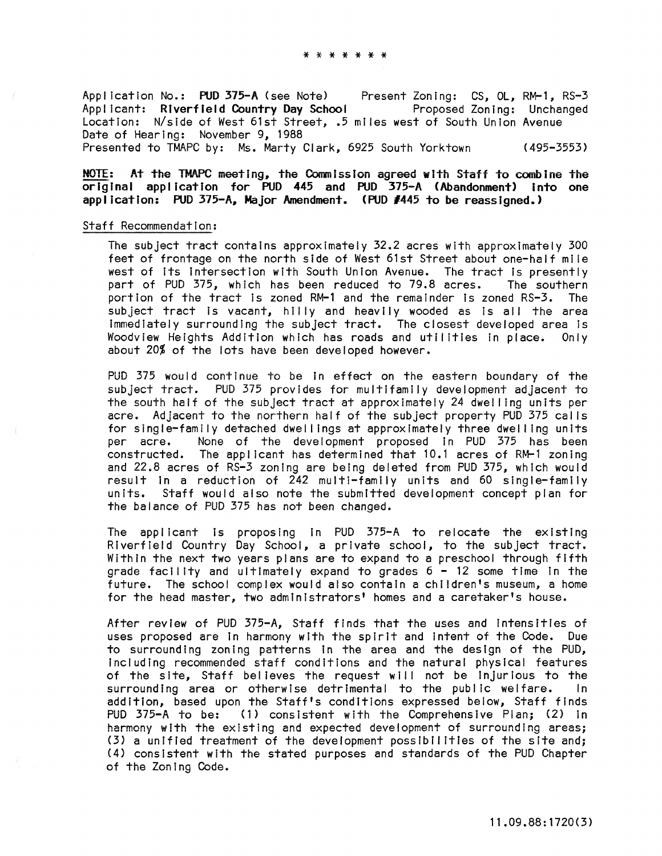Application No.: PUD 375-A (see Note) Applicant: Riverfield Country Day School location: N/slde of West 61st Street, .5 miles west of South Union Avenue Date of Hearing: November 9, 1988 Present Zoning: CS, OL, RM-1, RS-3 Proposed Zoning: Unchanged Presented to TMAPC by: Ms. Marty Clark, 6925 South Yorktown (495-3553)

NOTE: At the TMAPC meeting, the Commission agreed wIth Staff to combine the original application for PUD 445 and PUD 375-A (Abandonment) into one application: PUD 375-A, Major Amendment. CPUD *1445* to be reassigned.)

#### Staff Recommendation:

The subject tract contains approximately 32.2 acres with approximately 300 feet of frontage on the north side of West 61st Street about one-half mile west of Its Intersection with South Union Avenue. The tract is presently part of PUD 375, which has been reduced to 79.8 acres. The southern portion of the tract is zoned RM-l and the remainder is zoned RS-3. The subject tract is vacant, hilly and heavily wooded as is all the area Immediately surrounding the subject tract. The closest developed area Is Woodview Heights Addition which has roads and utilities In place. Only about 20% of the lots have been developed however.

PUD 375 would continue to be in effect on the eastern boundary of the subject tract. PUD 375 provides for multifamily development adjacent to the south half of the subject tract at approximately 24 dwel ling units per acre. Adjacent to the northern half of the subject property PUD 375 cal Is for single-family detached dwellings at approximately three dwelling units<br>per acre. None of the development proposed in PUD 375 has been None of the development proposed in PUD 375 has been constructed. The applicant has determined that 10.1 acres of RM-l zoning and 22.8 acres of RS-3 zoning are being deleted from PUD 375, whIch would result in a reduction of 242 multi-family units and 60 single-family<br>units. Staff would also note the submitted development concept plan for Staff would also note the submitted development concept plan for the balance of PUD 375 has not been changed.

The appl icant Is proposing In PUD 375-A to relocate the existing Rlverfleld Country Day School, a private school, to the subject tract. Within the next two years plans are to expand to a preschool through fifth grade facility and ultimately expand to grades 6 - 12 some time In the future. The school complex would also contain a children's museum, a home for the head master, two administrators' homes and a caretaker's house.

After review of PUD 375-A, Staff finds that the uses and Intensities of uses proposed are In harmony with the spirit and Intent of the Code. Due to surrounding zoning patterns in the area and the design of the PUD, Including recommended staff conditions and the natural physical features of the site, Staff believes the request will not be Injurious to the surrounding area or otherwise detrimental to the public welfare. In addition, based upon the Staff's conditions expressed below, Staff finds<br>PUD 375-A to be: (1) consistent with the Comprehensive Plan; (2) in (1) consistent with the Comprehensive Plan; (2) In **harmony wIth the existing and expected development of surrounding areas;**  (3) a unified treatment of the development possibilities of the site and; (4) consistent with the stated purposes and standards of the PUD Chapter of the Zoning Code.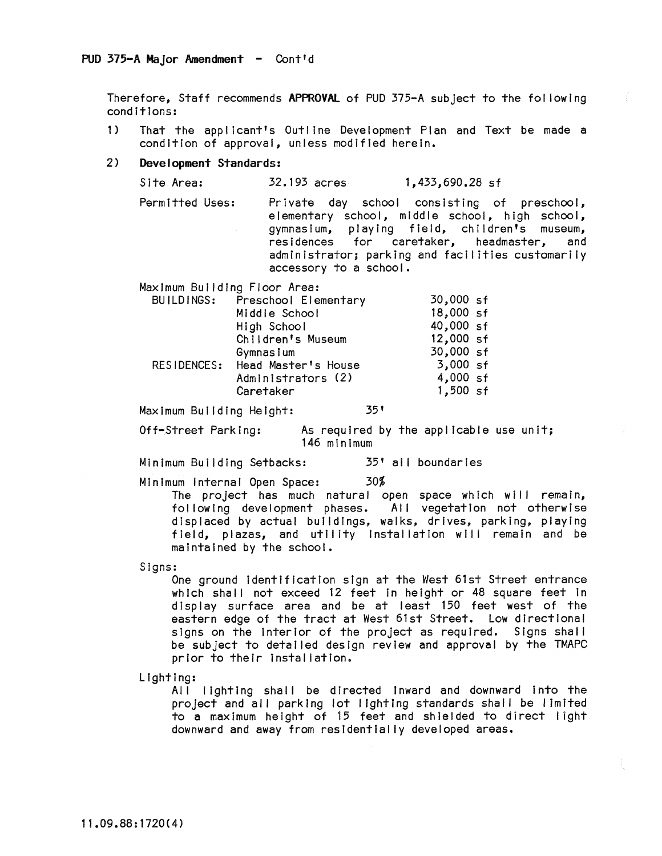Therefore, Staff recommends APPROVAl of PUD 375-A subject to the fol lowing conditions:

1) That the applicant's Outline Development Plan and Text be made a condition of approval, unless modified herein.

## 2) Development Standards:

Site Area: 32.193 acres 1,433,690.28 sf

Permitted Uses: Private day school consisting of preschool, elementary school, middle school, high school, gymnasium, playing field, children's museum, residences for caretaker, headmaster, and administrator; parking and facilities customarily accessory to a school.

Maximum Building Floor Area:

| BUILDINGS: | Preschool Elementary<br>Middle School | 30,000 sf<br>$18,000$ sf |  |
|------------|---------------------------------------|--------------------------|--|
|            | High School                           | 40,000 sf                |  |
|            | Children's Museum                     | $12,000$ sf              |  |
|            | <b>Gymnasium</b>                      | 30,000 sf                |  |
|            | RESIDENCES: Head Master's House       | 3,000 sf                 |  |
|            | Administrators (2)                    | $4,000$ sf               |  |
|            | Caretaker                             | $1,500$ sf               |  |
|            |                                       |                          |  |

Maximum Building Height: 35'

Off-Street Parking: As required by the applicable use unit; 146 minimum

Minimum Building Setbacks: 35' all boundaries

maintained by the school.

MinImum Internal Open Space: 30% The project has much natural open space which will remain, following development phases. All vegetation not otherwise displaced by actual buildings, walks, drives, parking, playing field, plazas, and utility installation will remain and be

Signs:

One ground Identification sign at the West 61st Street entrance which shall not exceed 12 feet In height or 48 square feet In display surface area and be at least 150 feet west of the eastern edge of the tract at West 61st Street. Low directional signs on the Interior of the project as required. Signs shall be subject to detailed design review and approval by the TMAPC prior to their Installation.

Ll ght I ng:

All lighting shall be directed inward and downward into the project and all parking lot lighting standards shall be limited to a maximum height of 15 feet and shielded to direct light downward and away from residentially developed areas.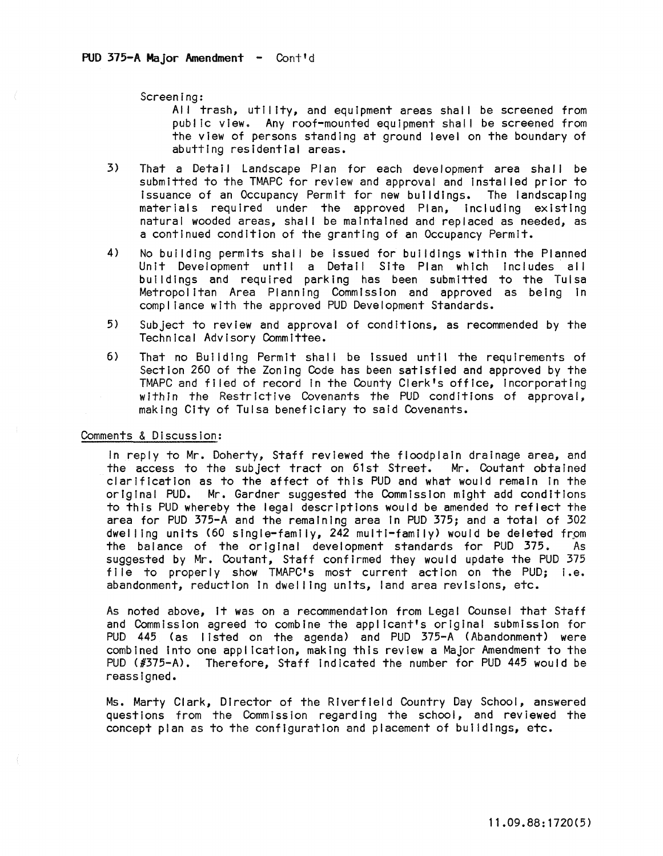Screening:

AII trash, utility, and equipment areas shall be screened from public view. Any roof-mounted equipment shall be screened from the view of persons standing at ground level on the boundary of abutting residential areas.

- 3) That a Detail Landscape Plan for each development area shall be submitted to the TMAPC for review and approval and Instal led prior to Issuance of an Occupancy Permit for new buildings. The landscaping materials required under the approved Plan, Including existing natural wooded areas, shall be maintained and replaced as needed, as a continued condition of the granting of an Occupancy Permit.
- 4) No building permits shal I be Issued for buildings within the Planned Unit Development until a Detail Site Plan which includes all buildings and required parking has been submitted to the Tulsa Metropolitan Area Planning Commission and approved as being In compl lance with the approved PUD Development Standards.
- 5) Subject to review and approval of conditions, as recommended by the Technical Advisory Committee.
- 6) That no Building Permit shall be Issued until the requirements of Section 260 of the Zoning Code has been satisfied and approved by the TMAPC and filed of record in the County Clerk's office, Incorporating within the Restrictive Covenants the PUD conditions of approval, making City of Tulsa beneficiary to said Covenants.

### Comments & Discussion:

In reply to Mr. Doherty, Staff reviewed the floodplain drainage area, and the access to the subject tract on 61st Street. Mr. Coutant obtained clarification as to the affect of this PUD and what would remain in the original PUD. Mr. Gardner suggested the Commission might add conditions to this PUD whereby the legal descriptions would be amended to reflect the area for PUD 375-A and the remaining area In PUD 375; and a total of 302 dwelling units (60 single-family, 242 multi-family) would be deleted from<br>the balance of the original development standards for PUD 375. As the balance of the original development standards for PUD 375. suggested by Mr. Coutant, Staff confirmed they would update the PUD 375 file to properly show TMAPC's most current action on the PUD; I.e. abandonment, reduction in dwelling units, land area revisions, etc.

As noted above, It was on a recommendation from Legal Counsel that Staff and Commission agreed to combine the applicant's original submission for PUD 445 (as listed on the agenda) and PUD 375-A (Abandonment) were combined Into one application, making this review a Major Amendment to the PUD (#375-A). Therefore, Staff Indicated the number for PUD 445 would be reassigned.

Ms. Marty Clark, Director of the Rlverfleld Country Day School, answered questions from the Commission regarding the school, and reviewed the **concept plan as to the configuratIon and placement of buildIngs, etc.**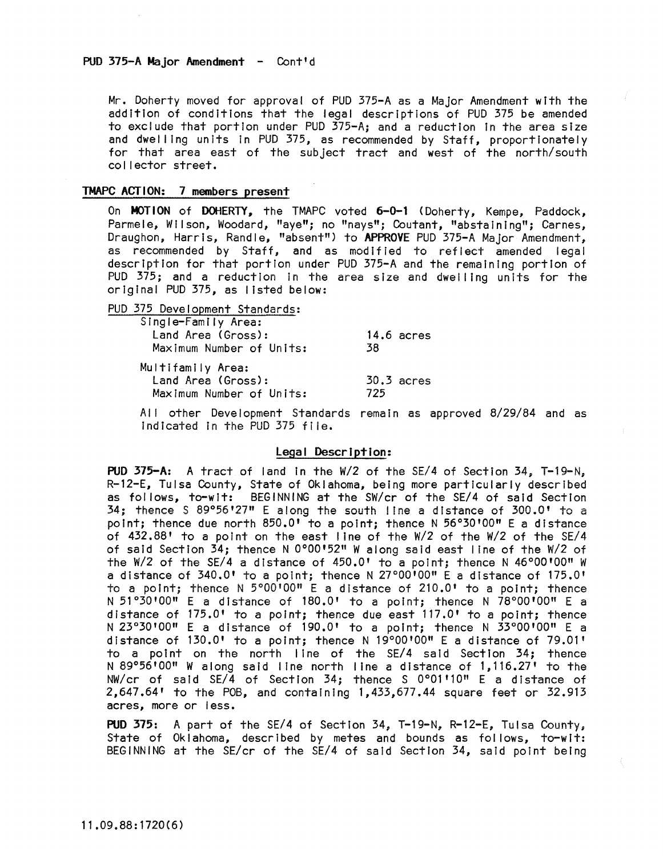Mr. Doherty moved for approval of PUD 375-A as a Major Amendment with the addition of conditions that the legal descriptions of PUD 375 be amended to exclude that portion under PUD 375-Aj and a reduction in the area size and dwelling units In PUD 375, as recommended by Staff, proportionately for that area east of the subject tract and west of the north/south col lector street.

### TMAPC ACTION: 7 members present

On MOTION of DOHERTY, the TMAPC voted 6-0-1 (Doherty, Kempe, Paddock, Parmele, Wilson, Woodard, "aye"; no "nays"; Coutant, "abstaining"; Carnes, Draughon, Harris, Randle, "absent") to APPROVE PUD 375-A Major Amendment, as recommended by Staff, and as modified to reflect amended legal description for that portion under PUD 375-A and the remaining portion of PUD 375; and a reduction in the area size and dwelling units for the original PUD 375, as listed below:

PUD 375 Development Standards:

| Single-Family Area:<br>Land Area (Gross):<br>Maximum Number of Units: | $14.6$ acres<br>38  |
|-----------------------------------------------------------------------|---------------------|
| Multifamily Area:<br>Land Area (Gross):<br>Maximum Number of Units:   | $30.3$ acres<br>725 |

All other Development Standards remain as approved 8/29/84 and as indicated in the PUD 375 flie.

### Legal Description:

PUD 315-A: A tract of land in the W/2 of the SE/4 of Section 34; T-19-N, R-12-E, Tulsa County, State of Oklahoma, being more particularly described as follows, to-wit: BEGINNING at the SW/cr of the SE/4 of said Section 34; thence S *89°56'27"* E along the south line a distance of 300.0' to a point; thence due north 850.0' to a point; thence N 56°30'00" E a distance of 432.88' to a point on the east line of the W/2 of the W/2 of the SE/4 of said Section 34; thence N 0°00'52" W along said east line of the W/2 of the W/2 of the SE/4 a distance of 450.0' to a point; thence N 46°00'00" W a distance of 340.0' to a point; thence N 27°00'00" E a distance of 175.0' to a point; thence N 5°00'00" E a distance of 210.0' to a point; thence N 51 °30'00" E a distance of 180.0' to a point; thence N 78°00'00" E a distance of  $175.0'$  to a point; thence due east  $117.0'$  to a point; thence N 23°30'00" E a distance of 190.0' to a point; thence N 33°00'00" E a distance of 130.0' to a point; thence N 19°00'00" E a distance of 79.01' to a point on the north line of the SE/4 said Section 34; thence N 89°56'00" W along said line north line a distance of 1,116.27' to the NW/ cr of said SE/4 of Section 34; thence S  $0°01"10"$  E a distance of 2,647.64' to the POB, and containing 1,433,677.44 square feet or 32.913 acres, more or less.

**PUD 375:** A part of the SE/4 of Section 34, T-19-N, R-12-E, Tulsa County, State of Oklahoma, described by metes and bounds as follows, to-wit: BEGINNING at the SE/cr of the SE/4 of said Section 34, said point being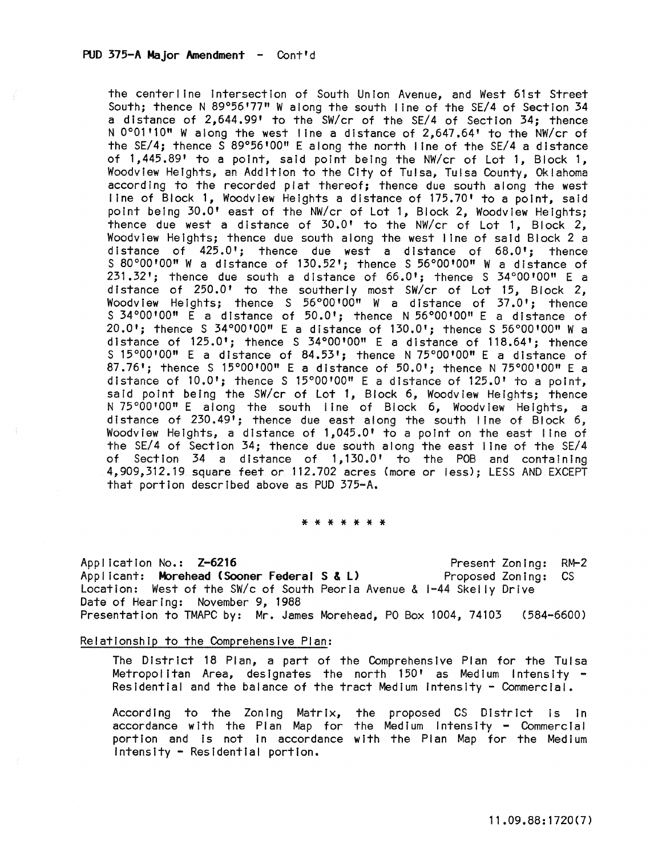the centerline intersection of South Union Avenue, and West 61st Street South; thence N 89°56'77" W along the south line of the *SE/4* of Section 34 a distance of 2,644.99' to the SW/cr of the SE/4 of Section 34; thence N 0°01'10" W along the west line a distance of 2,647.64' to the NW/cr of the *SE/4;* thence S 89°56'00" E along the north line of the *SE/4* a distance of 1,445.89' to a point, said point being the NW/cr of Lot 1, Block 1, Woodview Heights, an Addition to the City of Tulsa, Tulsa County, Oklahoma according to the recorded plat thereof; thence due south along the west line of Block 1, Woodview Heights a distance of 175.70' to a point, said point being 30.0' east of the NW/cr of Lot 1, Block 2, Woodview Heights; thence due west a distance of 30.0' to the NW/cr of Lot 1, Block 2, Woodvlew Heights; thence due south along the west line of said Block 2 a distance of 425.0'; thence due west a distance of 68.0'; thence S 80°00'00" W a distance of 130.52'; thence S 56°00'00" W a distance of 231.32'; thence due south a distance of  $66.0$ '; thence S  $34^{\circ}00^{\prime}00^{\prime\prime}$  E a distance of 250.0' to the southerly most SW/cr of Lot 15, Block 2, Woodvlew Heights; thence S 56°00'00" W a distance of 37.0'; thence S  $34°00'00''$  E a distance of  $50.0'$ ; thence N  $56°00'00''$  E a distance of 20.0'; thence S 34°00'00" E a distance of 130.0'; thence S 56°00'00" W a distance of  $125.0'$ ; thence S  $34^{\circ}00^{\circ}00''$  E a distance of  $118.64'$ ; thence S 15 $^{\circ}00'00''$  E a distance of 84.53'; thence N 75 $^{\circ}00'00''$  E a distance of 87.76'; thence S 15°00'00" E a distance of 50.0'; thence N 75°00'00" E a distance of 10.0'; thence S 15°00'00" E a distance of 125.0' to a point, said point being the SW/cr of Lot 1, Block 6, Woodview Heights; thence N 75°00'00" E along the south line of Block 6, Woodview Heights, a distance of  $230.49$ <sup>t</sup>; thence due east along the south line of Block 6, Woodview Heights, a distance of 1,045.0' to a point on the east line of the *SE/4* of Section 34; thence due south along the east line of the *SE/4*  of Section 34 a distance of 1,130.0' to the POB and containing 4,909,312.19 square feet or 112.702 acres (more or less); LESS AND EXCEPT that portion described above as PUD 375-A.

\* \* \* \* \* \* \*

Application No.: Z-6216 Present Zoning: RM-2 Applicant: Morehead (Sooner Federal S & L) Location: West of the *SW/c* of South Peoria Avenue & 1-44 Skelly Drive Date of Hearing: November 9, 1988 Presentation to TMAPC by: Mr. James Morehead, PO Box 1004, 74103 (584-6600) Proposed Zoning: CS

### Relationship to the Comprehensive Plan:

The District 18 Plan, a part of the Comprehensive Plan for the Tulsa Metropolitan Area, designates the north 150' as Medium Intensity -<br>Residential and the balance of the tract Medium Intensity - Commercial.

According to the Zoning Matrix, accordance with the Plan Map for portion and is not in accordance with the Plan Map for the Medium Intensity - Residential portion. the proposed CS District is In the Medium Intensity - Commercial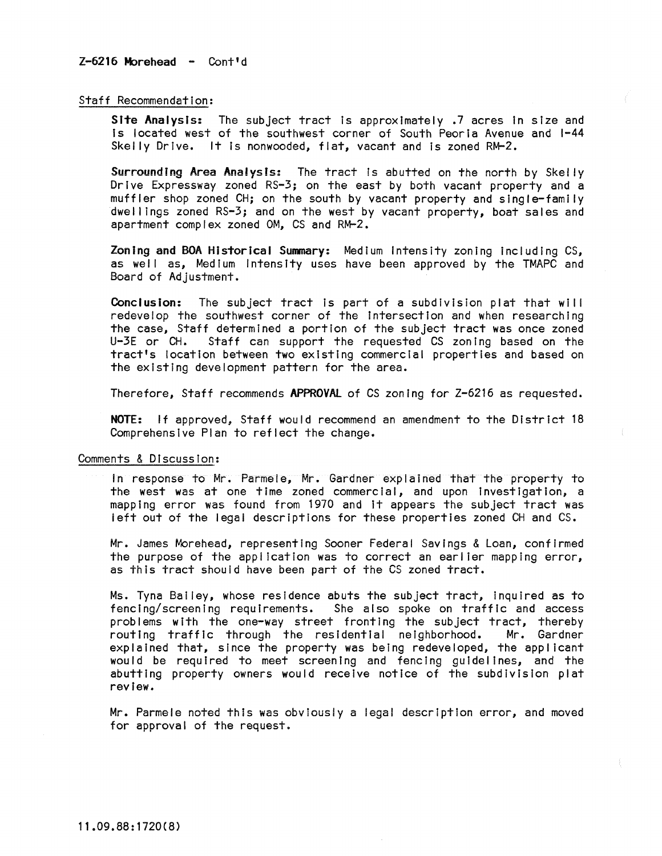## Staff Recommendation:

Site Analysis: The subject tract Is approximately .7 acres In size and Is located west of the southwest corner of South Peoria Avenue and 1-44 Skelly Drive. It Is nonwooded, flat, vacant and Is zoned RM-2.

Surrounding Area Analysis: The tract Is abutted on the north by Skelly Drive Expressway zoned RS-3; on the east by both vacant property and a muffler shop zoned CH; on the south by vacant property and single-family dwellings zoned RS-3; and on the west by vacant property, boat sales and apartment complex zoned OM, CS and RM-2.

Zoning and BOA Historical Summary: Medium Intensity zoning Including CS, as well as, Medium Intensity uses have been approved by the TMAPC and Board of Adjustment.

Conclusion: The subject tract Is part of a subdivision plat that will redevelop the southwest corner of the Intersection and when researching the case, Staff determined a portion of the subject tract was once zoned  $U-3E$  or CH. Staff can support the requested CS zoning based on the tract's location between two existing commercial properties and based on the existing development pattern for the area.

Therefore, Staff recommends APPROVAL of CS zoning for Z-6216 as requested.

NOTE: If approved, Staff would recommend an amendment to the District 18 Comprehensive Plan to reflect the change.

Comments & Discussion:

In response to Mr. Parmele, Mr. Gardner explained that the property to the west was at one time zoned commercial, and upon Investigation, a mapping error was found from 1970 and It appears the subject tract was left out of the legal descriptions for these properties zoned CH and CS.

Mr. James Morehead, representing Sooner Federal Savings & Loan, confirmed the purpose of the application was to correct an earlier mapping error, as this tract should have been part of the CS zoned tract.

Ms. Tyna Bailey, whose residence abuts the subject tract, Inquired as to fencing/screening requirements. She also spoke on traffic and access problems with the one-way street fronting the subject tract, thereby routing traffic through the residential neighborhood. Mr. Gardner explained that, since the property was being redeveloped, the applicant would be required to meet screening and fencing guidelines, and the abutting property owners would receive notice of the subdivision plat review.

Mr. Parmele noted this was obviously a legal description error, and moved for approval of the request.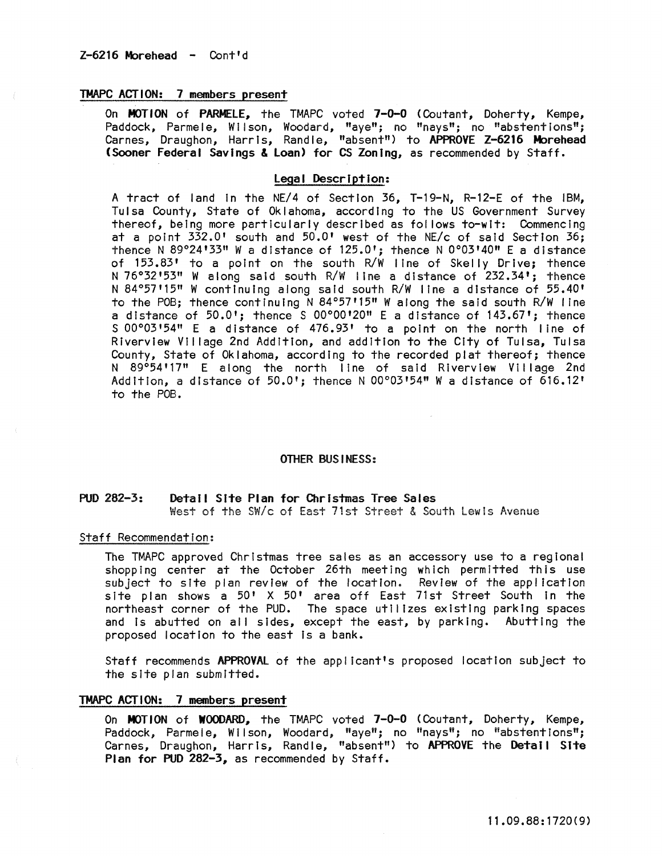### TMAPC ACTION: 7 members present

On MOTION of PARMELE, the TMAPC voted 7-0-0 (Coutant, Doherty, Kempe, Paddock, Parmele, Wilson, Woodard, "aye"; no "nays"; no "abstentions"; Carnes, Draughon, Harris, Randle, "absent") to APPROVE Z-6216 Morehead (Sooner Federal Savings & Loan) for CS Zoning, as recommended by Staff.

# Legal Description:

A tract of land in the  $NE/4$  of Section 36, T-19-N, R-12-E of the IBM, Tulsa County, State of Oklahoma, according to the US Government Survey thereof, being more particularly described as fol lows to-wit: Commencing at a point 332.0' south and 50.0' west of the NE/c of said Section 36; thence N 89°24'33" W a distance of 125.0'; thence N 0°03'40" E a distance of 153.83' to a point on the south R/w line of Skelly Drive; thence N 76°32'53" W along said south R/W line a distance of 232.34'; thence N 84°57'15" W continuing along said south R/w line a distance of 55.40' to the POB; thence continuing N 84°57'15" W along the said south R/w line a distance of 50.0'; thence S 00°00'20" E a distance of 143.67'; thence S  $00^{\circ}03'54''$  E a distance of  $476.93'$  to a point on the north line of Riverview Village 2nd Addition, and addition to the City of Tulsa, Tulsa County, State of Oklahoma, according to the recorded plat thereof; thence N 89°54'17" E along the north line of said Riverview Village 2nd Addition, a distance of  $50.0'$ ; thence N  $00^{\circ}03'54''$  W a distance of  $616.12'$ to the POB.

### OTHER BUSINESS:

## PUD 282-3: Detail Site Plan for Christmas Tree Sales West of the SW/c of East 71st Street & South Lewis Avenue

#### Staff Recommendation:

The TMAPC approved Christmas tree sales as an accessory use to a regional shopping center at the October 26th meeting which permitted this use subject to site plan review of the location. Review of the appl icatlon site plan shows a 50' X 50' area off East 71st Street South in the northeast corner of the PUD. The space utilizes existing parking spaces and is abutted on all sides, except the east, by parking. Abutting the proposed location to the east Is a bank.

Staff recommends APPROVAL of the applicant's proposed location subject to the site plan submitted.

### TMAPC ACTION: 7 members present

On MOTION of WOODARD, the TMAPC voted 7-0-0 (Coutant, Doherty, Kempe, Paddock, Parmele, Wilson, Woodard, "aye"; no "nays"; no "abstentions"; Carnes, Draughon, Harris, Randle, "absent") to APPROVE the Detail Site Plan for PUD 282-3, as recommended by Staff.